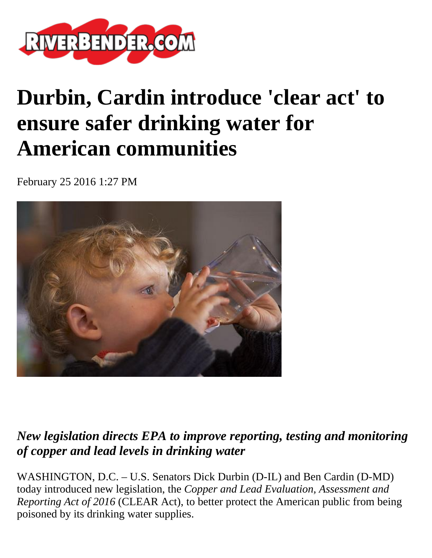

## **Durbin, Cardin introduce 'clear act' to ensure safer drinking water for American communities**

February 25 2016 1:27 PM



## *New legislation directs EPA to improve reporting, testing and monitoring of copper and lead levels in drinking water*

WASHINGTON, D.C. – U.S. Senators Dick Durbin (D-IL) and Ben Cardin (D-MD) today introduced new legislation, the *Copper and Lead Evaluation, Assessment and Reporting Act of 2016* (CLEAR Act), to better protect the American public from being poisoned by its drinking water supplies.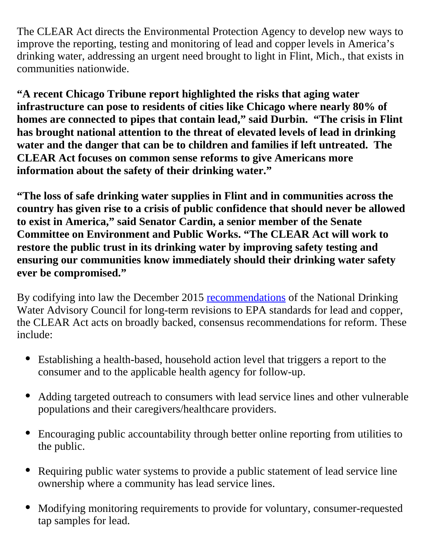The CLEAR Act directs the Environmental Protection Agency to develop new ways to improve the reporting, testing and monitoring of lead and copper levels in America's drinking water, addressing an urgent need brought to light in Flint, Mich., that exists in communities nationwide.

**"A recent Chicago Tribune report highlighted the risks that aging water infrastructure can pose to residents of cities like Chicago where nearly 80% of homes are connected to pipes that contain lead," said Durbin. "The crisis in Flint has brought national attention to the threat of elevated levels of lead in drinking water and the danger that can be to children and families if left untreated. The CLEAR Act focuses on common sense reforms to give Americans more information about the safety of their drinking water."**

**"The loss of safe drinking water supplies in Flint and in communities across the country has given rise to a crisis of public confidence that should never be allowed to exist in America," said Senator Cardin, a senior member of the Senate Committee on Environment and Public Works. "The CLEAR Act will work to restore the public trust in its drinking water by improving safety testing and ensuring our communities know immediately should their drinking water safety ever be compromised."** 

By codifying into law the December 2015 [recommendations](http://www.awwa.org/Portals/0/files/legreg/documents/NDWAC%20Recommendations.pdf) of the National Drinking Water Advisory Council for long-term revisions to EPA standards for lead and copper, the CLEAR Act acts on broadly backed, consensus recommendations for reform. These include:

- Establishing a health-based, household action level that triggers a report to the consumer and to the applicable health agency for follow-up.
- Adding targeted outreach to consumers with lead service lines and other vulnerable  $\bullet$ populations and their caregivers/healthcare providers.
- Encouraging public accountability through better online reporting from utilities to the public.
- Requiring public water systems to provide a public statement of lead service line  $\bullet$ ownership where a community has lead service lines.
- Modifying monitoring requirements to provide for voluntary, consumer-requested  $\bullet$ tap samples for lead.